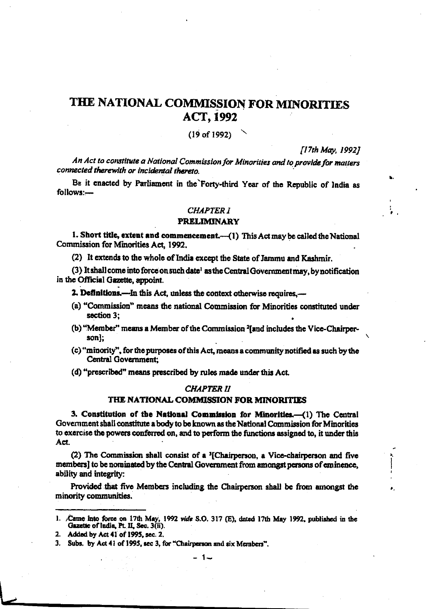# THE NATIONAL **COMMISSION FOR MINORITIES** ACT, 1992

# (19 of 1992)

*[17th May, 19921*

**11**

*An Act to constitute a National Commission for Minorities and to provide for matters connected therewith or incidental thereto.*

**Be it enacted by Parliament in the Forty**-**third** Year of **the Republic of India as follows:-**

## *CHAPTER 1*

### PRELIMINARY

**1. Short title**, **extent and commencement**.-(1) This Act may **be called the National Commission** for Minorities Act, 1992.

(**2) It extends to the whole** of India **except the State of Jammu and Kashmir.**

**(3) It shall come into force on such date** ' **as the**Central Government may, by **notification** in the Official **Gazette**, **appoint.**

**2. Definitions**,**-la this** Act, unless **the context** otherwise **requires,-**

- **(a) "Commission" means the national Commission for Minorities constituted under section 3;**
- **(b) "Member" means a Member of the Commission** '[**and includes** the Vice-Chairper**son];**
- **(c) "minority**", **for the purposes of this Act, means a community notified as such by the Central Government;**

**(d) "prescribed**" **means prescribed by rules made under** this Act

# *CHAPTER 11*

## THE NATIONAL **COMMISSION FOR MINORITIES**

**3. Constitution of the National Commission for Minoritles**.- (l) The Central Government**shall constitute a body to be known as the National Commission for Minorities to exercise the powers conferred on, and to perform the functions assigned to** , **it under this** Act.

(2) The **Commission shall consist** of a 3[Cha**irperson**, a Vice-**chairperson and five members] to be nominated** by the **Central Government from amongst persons of eminence, ability and integrity:**

Provided **that five Members including the Chairperson shall be from amongst the** minority **communities.**

**- t-**

**<sup>1. ,</sup>Came Into force** on 17th May, **1992 vide** S.O. 317 (**E), dated** 17th May 1992, **published in the Gazette of India, Pt lt, Sec. 3(ii).**

<sup>2.</sup> Added by Act **41 of 1995**, **sec. 2.**

**<sup>3.</sup> Subs**. by Act **41 of 1995**, **sec 3, for "Chairperson and six Membco".**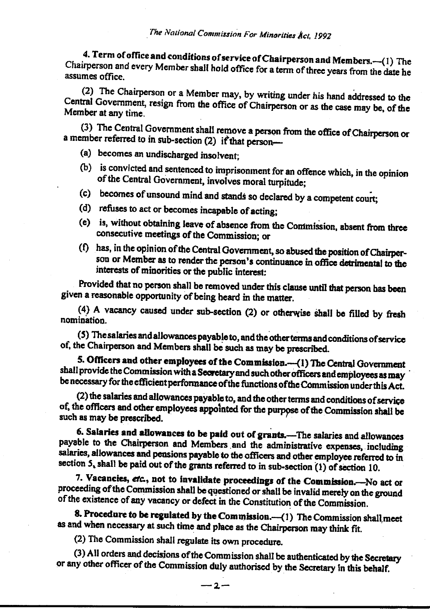**4. Term of office and conditions of service of Chairperson and Members**.-(I) The **Chairperson and every Member shall hold office for a term of three years from the date he assumes office.**

**(2) The Chairperson or a Member may, by writing under his hand addressed to the Central Government**, **resign from the office of Chairperson or as the case may be, of the Member at any time.**

**(3) The Central Government shall remove a person from the office of Chairperson or** a member referred to in sub-section (2) if that person-

- **(a) becomes an undischarged insolvent;**
- **(b) is convicted and sentenced to imprisonment for an offence which** , **in the opinion of the Central Government**, **involves moral turpitude;**
- **(c) becomes of unsound mind and stands so declared by a competent court;**
- **(d) refuses to act or becomes incapable of acting;**
- **(e) is, without obtaining leave of absence from the Commission** , **absent from three consecutive meetings of the Commission; or**
- **(f) has**, **in the opinion of the Central Government**, **so abused the position of Chairperson or Member as to render the person** '**s continuance in office detrimental to the interests of minorities or the public interest:**

**Provided that no person shall be removed under this clause until that person has been given a reasonable opportunity of being heard in the matter.**

**(4) A vacancy caused under sub-section** (**2) or otherwise shall be filled by fresh nomination.**

**(5) The salaries andallowancespayableto** , **and the othertermsandconditions of service of, the Chairperson and Members shall be such as may be prescribed.**

**5. Officers and other employees of the Commission**.--(**l) The Central Government shall provide the Commission with a Secretaryand suchother officers and employees as may** be necessary for the efficient performance of the functions of the Commission under this Act.

**(2) the salaries and allowances payable to**, **and the other terms and conditions of service of, the officers and other employees appointed for the purppse of the Commission shall be such as may be prescribed.**

**6. Salaries and allowances to be paid out of grants**.-**The salaries and allowances** salaries, allowances and pensions payable to the officers and other employee referred to in **section 5**.**shall be paid out of the grants referred to in sub-section** ( **1) of section 10. 7. Vacancies, and pensions payable to the officers and other employee referred to in**<br>on 5, shall be paid out of the grants referred to in sub-section (1) of section 10.<br>7. Vacancies, etc., not to invalidate proceedings o

**proceeding of the Commission shall be questioned or shall be invalid merely on the ground of the existence of any vacancy or defect in the Constitution of the Commission.**

**8. Procedure to be regulated by the Commission.** (1) The Commission shall, meet **as and when necessary at such time and place as the Chairperson may think fit.**

(2) The **Commission shall regulate its own procedure.**

(3) All orders **and decisions of the Commission shall be authenticated by the Secretary or any other** officer of**the Commission duly authorised by the Secretary in this behalf.**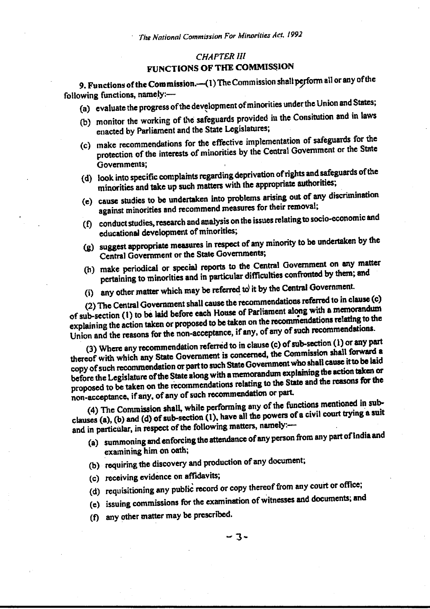# *CHAPTER III* FUNCTIONS OF THE COMMISSION

9. Functions of the Commission.--(1) The Commission shall perform all or any of the **following functions**, **namely:-**

- **(a) evaluate the progress ofthe development** of minorities under the Union **and States;**
- (b) monitor the working of Lhe safeguards provided in the Consitution **and in laws** enacted by **Parliament and the State Legislatures;**
- **(c) make recommendations** for the effective implementation of safeguards for the protection of the **interests of minorities** by the Central Government **or the State Governments;** <sup>I</sup>
- (d) look **into specific complaints regarding deprivation ofrights and safeguards of the minorities and take up such matters with the appropriate authorities;**
- **(e) cause studies to be undertaken into problems arising out of any discrimination against minorities and recommend measures for their removal;**
- (f) conduct**studies, research and analysis on the issues relating to socio**-**economic and educational development of minorities;**
- **(g) suggest appropriate measures in respect** of any minority **to be undertaken by the** Central **Government or the State Governments;**
- **(h) make periodical or special reports to the. Central Government on any matter pertaining to minorities and in particular difficulties confronted by them; and**
- (**i) any** other **matter** which **may be referred** toy it by **the Central Government.**

(2) The **Central Government shall cause the recommendations referred to in clause (c)** of sub-**section (1) to be laid before each House of Parliament along with a** memorandum **explaining the action taken or proposed to be taken on the recommendations relating to the** Union **and the reasons** for the **non-acceptance**, if any, of any of such **recommendations.**

(3) Where any **recommendation referred to in clause** (**c) of sub**-**section** ( **1) or any part** thereof with which **any State Government is concerned**, **the Commission shall forward a** copy **of such recommendation or part to such State Government who shall cause itto be laid** before the **Legislature of the State along with a memorandum explaining the action taken or** proposed **to be taken on the recommendations relating to the State and the reasons for the non-acceptance**. if any, of any of **such recommendation or part.**

(4) The **Commission shall, while performing** any of the **functions mentioned in subclauses** (**a), (b) and (d**) **of sub**-**section** ( **1), have all the powers of a civil court trying a suit and in particular, in respect of the following matters**, **namely:-**

- **(a) summoning and enforcing the attendance of any person from any part of India and examining him** on oath;
- (b) requiring the discovery **and production** of any **document;**
- **(c) receiving evidence on affidavits;**
- **(d) requisitioning any public record or** copy **thereof from any court or office;**
- **(e) issuing commissions for the examination of witnesses and documents; and**
- (f) any other **matter may be prescribed.**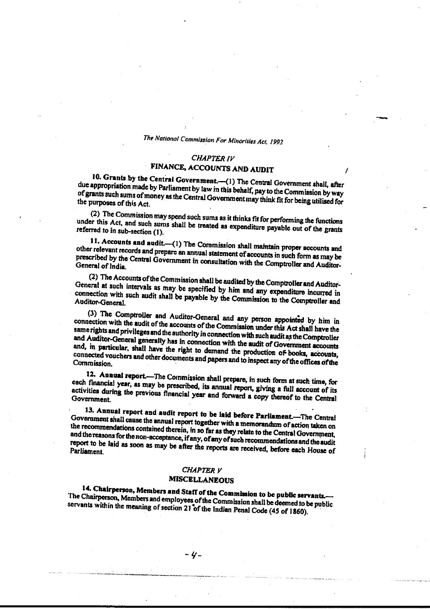# *The National Commission For Minorities Act, 1992*

# *CHAPTER IV*

FINANCE, ACCOUNTS AND AUDIT<br>10. Grants by the Central Government.—(1) The Central Government shall, after **10. Grants by the Central Government**.-{**l) The Central Government shall, after due appropriation made by Parliament by law in this** behalf**, pay to the** Commission by way **of grants such sums of money as the Central Governmentmaythink fit for being utilised for the purposes** of this Act.

**(2) The Commission may spend such sums as it thinks fit for performing the functions under this Act, and such sums shall be treated as expenditure payable out of the grants referred to in sub**-**section (1).**

11. Accounts and audit.--(1) The Commission shall maintain proper accounts and **other relevant records and prepare an annual statement of accounts in such form as may be** prescribed by the Central Government in consultation with the Comptroller and Auditor-

**(2) The Accounts ofthe Commission shal**<sup>l</sup> **be audited by the COMPtrollerand Auditor- General at such intervals as may be specified by him and any expenditure incurred in** connection with such audit shall be payable by the Commission to the Comptroller and

**(3) The Comptroller and Auditor**-**General and any person appointed by him in connection with the audit of the accounts of the Commission under this Act shall have the** and Auditor-General generally has in connection with the audit of Government accounts and, in particular, shall have the right to demand the production of books, accounts<br>
connected vouchers and other documents and nanomal the production of books, accounts, connected vouchers and other documents and papers and to inspect any of the offices of the

12. Annual report.-The Commission shall prepare, in such form at such time, for each financial year, as may be prescribed, its annual report, giving a full account of its activities during the previous financial year and forward a copy thereof to the Central

13. Annual report and audit report to be laid before Parliament.--The Central Government shall cause the annual report together with a memorandum of action taken on the recommendations contained therein, in so far as they and the reasons for the non-acceptance, if any, of any of such recommendations and the audit report to be laid as soon as may be after the reports are received, before each House of

#### CHAPTER V

## **MISCELLANEOUS**

**14. Chairperson**, **Members and Starr of the Commission to be public servants.- The Chairperson, Members and employees of the Commission shall be deemed to be public servants within the meaning of section 21 of the Indian Penal Code** (**45 of 1860).**